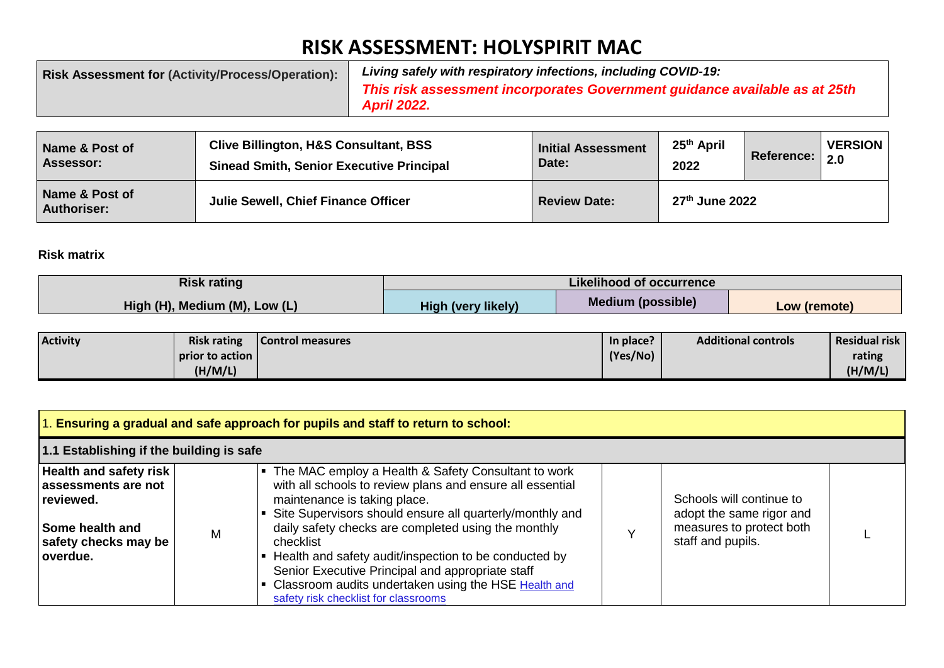## **RISK ASSESSMENT: HOLYSPIRIT MAC**

| <b>Risk Assessment for (Activity/Process/Operation):</b> | Living safely with respiratory infections, including COVID-19:                                   |
|----------------------------------------------------------|--------------------------------------------------------------------------------------------------|
|                                                          | This risk assessment incorporates Government guidance available as at 25th<br><b>April 2022.</b> |

| Name & Post of                       | <b>Clive Billington, H&amp;S Consultant, BSS</b> | <b>Initial Assessment</b> | 25 <sup>th</sup> April | <b>Reference:</b> | <b>VERSION</b>    |
|--------------------------------------|--------------------------------------------------|---------------------------|------------------------|-------------------|-------------------|
| Assessor:                            | <b>Sinead Smith, Senior Executive Principal</b>  | Date:                     | 2022                   |                   | $\vert 2.0 \vert$ |
| Name & Post of<br><b>Authoriser:</b> | <b>Julie Sewell, Chief Finance Officer</b>       | <b>Review Date:</b>       | 27th June 2022         |                   |                   |

## **Risk matrix**

| <b>Risk rating</b>            | Likelihood of occurrence  |                          |              |  |  |
|-------------------------------|---------------------------|--------------------------|--------------|--|--|
| High (H), Medium (M), Low (L) | <b>High (very likely)</b> | <b>Medium (possible)</b> | Low (remote) |  |  |

| <b>Activity</b> | <b>Risk rating</b> | Control measures | In place? | <b>Additional controls</b> | <b>Residual risk</b> |
|-----------------|--------------------|------------------|-----------|----------------------------|----------------------|
|                 | prior to action    |                  | (Yes/No)  |                            | rating               |
|                 | (H/M/L)            |                  |           |                            | (H/M/L)              |

| 1. Ensuring a gradual and safe approach for pupils and staff to return to school:                                  |                                          |                                                                                                                                                                                                                                                                                                                                                                                                                                                                                               |  |                                                                                                       |  |
|--------------------------------------------------------------------------------------------------------------------|------------------------------------------|-----------------------------------------------------------------------------------------------------------------------------------------------------------------------------------------------------------------------------------------------------------------------------------------------------------------------------------------------------------------------------------------------------------------------------------------------------------------------------------------------|--|-------------------------------------------------------------------------------------------------------|--|
|                                                                                                                    | 1.1 Establishing if the building is safe |                                                                                                                                                                                                                                                                                                                                                                                                                                                                                               |  |                                                                                                       |  |
| Health and safety risk<br>assessments are not<br>reviewed.<br>Some health and<br>safety checks may be<br>loverdue. | M                                        | The MAC employ a Health & Safety Consultant to work<br>with all schools to review plans and ensure all essential<br>maintenance is taking place.<br>Site Supervisors should ensure all quarterly/monthly and<br>daily safety checks are completed using the monthly<br>checklist<br>Health and safety audit/inspection to be conducted by<br>Senior Executive Principal and appropriate staff<br>Classroom audits undertaken using the HSE Health and<br>safety risk checklist for classrooms |  | Schools will continue to<br>adopt the same rigor and<br>measures to protect both<br>staff and pupils. |  |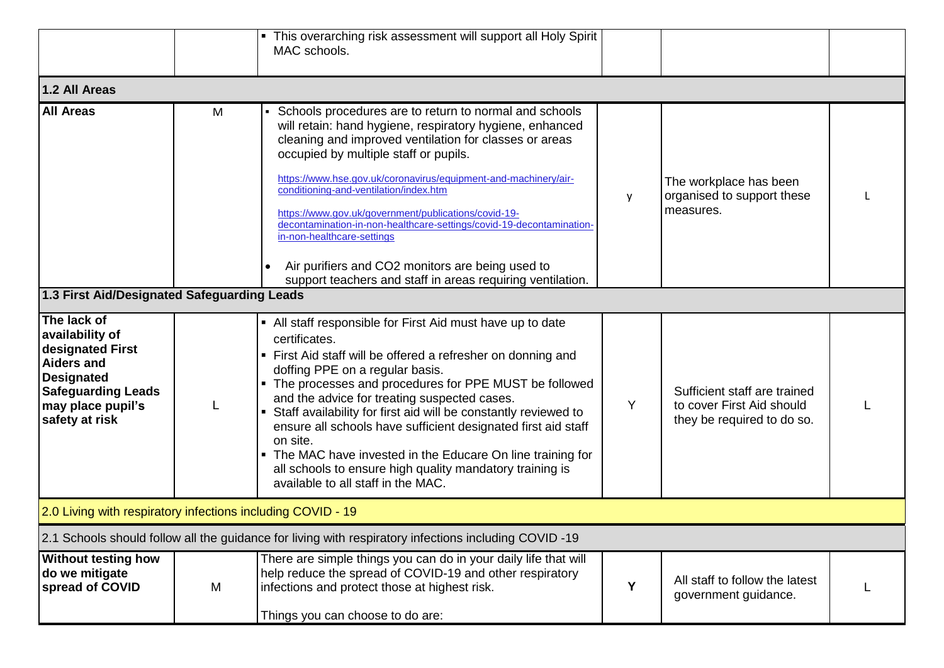|                                                                                                                                                                  |   | • This overarching risk assessment will support all Holy Spirit<br>MAC schools.                                                                                                                                                                                                                                                                                                                                                                                                                                                                                                                                    |   |                                                                                         |  |
|------------------------------------------------------------------------------------------------------------------------------------------------------------------|---|--------------------------------------------------------------------------------------------------------------------------------------------------------------------------------------------------------------------------------------------------------------------------------------------------------------------------------------------------------------------------------------------------------------------------------------------------------------------------------------------------------------------------------------------------------------------------------------------------------------------|---|-----------------------------------------------------------------------------------------|--|
| 1.2 All Areas                                                                                                                                                    |   |                                                                                                                                                                                                                                                                                                                                                                                                                                                                                                                                                                                                                    |   |                                                                                         |  |
| <b>All Areas</b>                                                                                                                                                 | M | Schools procedures are to return to normal and schools<br>will retain: hand hygiene, respiratory hygiene, enhanced<br>cleaning and improved ventilation for classes or areas<br>occupied by multiple staff or pupils.<br>https://www.hse.gov.uk/coronavirus/equipment-and-machinery/air-<br>conditioning-and-ventilation/index.htm<br>https://www.gov.uk/government/publications/covid-19-<br>decontamination-in-non-healthcare-settings/covid-19-decontamination-<br>in-non-healthcare-settings<br>Air purifiers and CO2 monitors are being used to<br>support teachers and staff in areas requiring ventilation. | у | The workplace has been<br>organised to support these<br>measures.                       |  |
| 1.3 First Aid/Designated Safeguarding Leads                                                                                                                      |   |                                                                                                                                                                                                                                                                                                                                                                                                                                                                                                                                                                                                                    |   |                                                                                         |  |
| The lack of<br>availability of<br>designated First<br><b>Aiders and</b><br><b>Designated</b><br><b>Safeguarding Leads</b><br>may place pupil's<br>safety at risk |   | • All staff responsible for First Aid must have up to date<br>certificates.<br>• First Aid staff will be offered a refresher on donning and<br>doffing PPE on a regular basis.<br>• The processes and procedures for PPE MUST be followed<br>and the advice for treating suspected cases.<br>Staff availability for first aid will be constantly reviewed to<br>ensure all schools have sufficient designated first aid staff<br>on site.<br>• The MAC have invested in the Educare On line training for<br>all schools to ensure high quality mandatory training is<br>available to all staff in the MAC.         | Y | Sufficient staff are trained<br>to cover First Aid should<br>they be required to do so. |  |
| 2.0 Living with respiratory infections including COVID - 19                                                                                                      |   |                                                                                                                                                                                                                                                                                                                                                                                                                                                                                                                                                                                                                    |   |                                                                                         |  |
|                                                                                                                                                                  |   | 2.1 Schools should follow all the quidance for living with respiratory infections including COVID-19                                                                                                                                                                                                                                                                                                                                                                                                                                                                                                               |   |                                                                                         |  |
| <b>Without testing how</b><br>do we mitigate<br>spread of COVID                                                                                                  | M | There are simple things you can do in your daily life that will<br>help reduce the spread of COVID-19 and other respiratory<br>infections and protect those at highest risk.<br>Things you can choose to do are:                                                                                                                                                                                                                                                                                                                                                                                                   | Y | All staff to follow the latest<br>government guidance.                                  |  |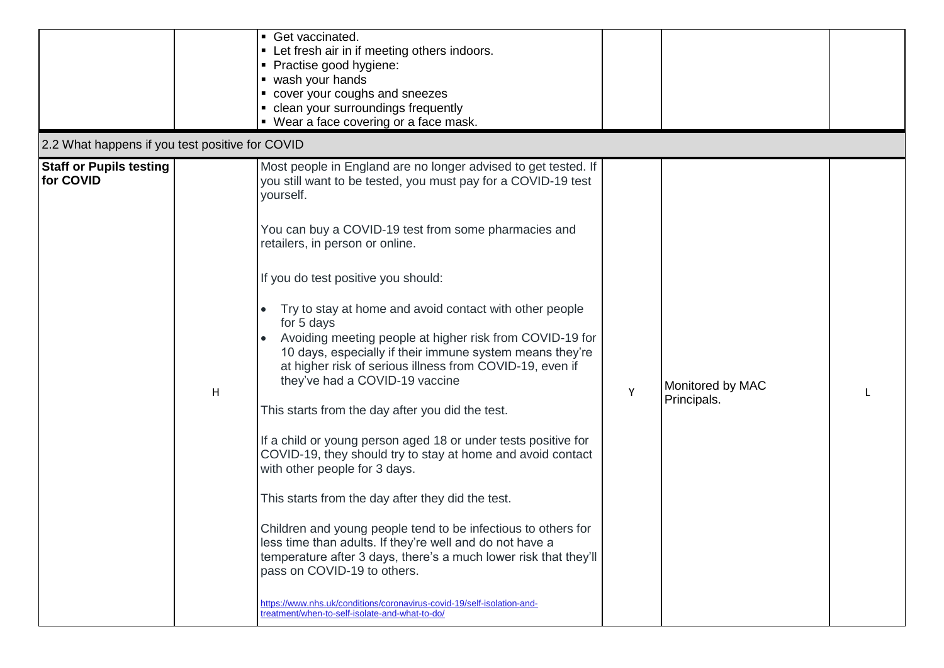| 2.2 What happens if you test positive for COVID |   | Get vaccinated.<br>• Let fresh air in if meeting others indoors.<br>• Practise good hygiene:<br>• wash your hands<br>• cover your coughs and sneezes<br>• clean your surroundings frequently<br>• Wear a face covering or a face mask.                                                                                                                                                                                                                                                                                                                                                                                                                                                                                                                                                                                                                                                                                                                                                                                                                                                                                                                                                                               |   |                                 |  |
|-------------------------------------------------|---|----------------------------------------------------------------------------------------------------------------------------------------------------------------------------------------------------------------------------------------------------------------------------------------------------------------------------------------------------------------------------------------------------------------------------------------------------------------------------------------------------------------------------------------------------------------------------------------------------------------------------------------------------------------------------------------------------------------------------------------------------------------------------------------------------------------------------------------------------------------------------------------------------------------------------------------------------------------------------------------------------------------------------------------------------------------------------------------------------------------------------------------------------------------------------------------------------------------------|---|---------------------------------|--|
| <b>Staff or Pupils testing</b><br>for COVID     | H | Most people in England are no longer advised to get tested. If<br>you still want to be tested, you must pay for a COVID-19 test<br>yourself.<br>You can buy a COVID-19 test from some pharmacies and<br>retailers, in person or online.<br>If you do test positive you should:<br>Try to stay at home and avoid contact with other people<br>for 5 days<br>Avoiding meeting people at higher risk from COVID-19 for<br>10 days, especially if their immune system means they're<br>at higher risk of serious illness from COVID-19, even if<br>they've had a COVID-19 vaccine<br>This starts from the day after you did the test.<br>If a child or young person aged 18 or under tests positive for<br>COVID-19, they should try to stay at home and avoid contact<br>with other people for 3 days.<br>This starts from the day after they did the test.<br>Children and young people tend to be infectious to others for<br>less time than adults. If they're well and do not have a<br>temperature after 3 days, there's a much lower risk that they'll<br>pass on COVID-19 to others.<br>https://www.nhs.uk/conditions/coronavirus-covid-19/self-isolation-and-<br>treatment/when-to-self-isolate-and-what-to-do/ | Y | Monitored by MAC<br>Principals. |  |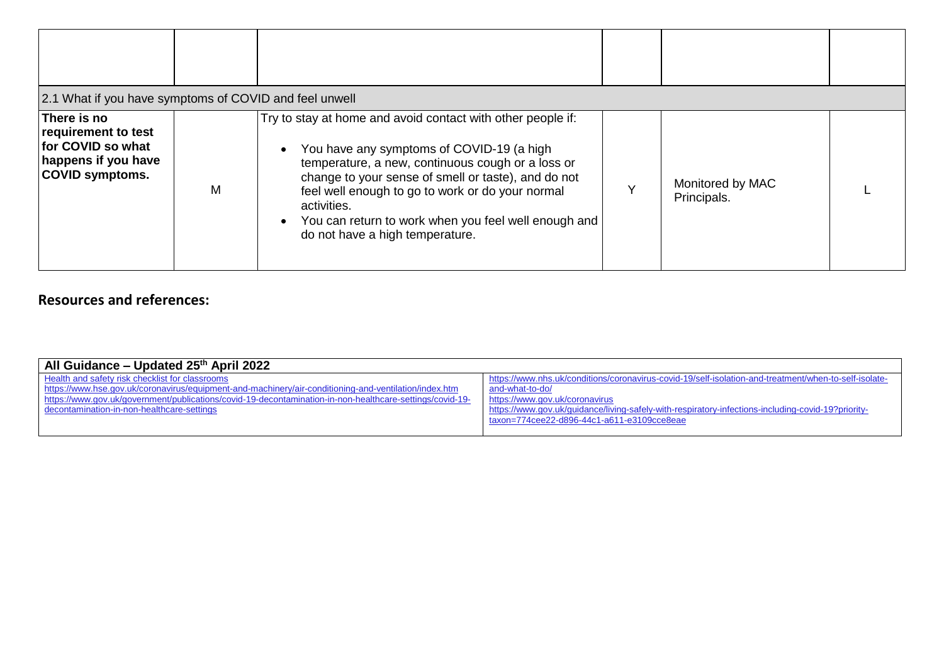| 2.1 What if you have symptoms of COVID and feel unwell                                                   |   |                                                                                                                                                                                                                                                                                                                                                                                    |                                 |  |
|----------------------------------------------------------------------------------------------------------|---|------------------------------------------------------------------------------------------------------------------------------------------------------------------------------------------------------------------------------------------------------------------------------------------------------------------------------------------------------------------------------------|---------------------------------|--|
| There is no<br>requirement to test<br>for COVID so what<br>happens if you have<br><b>COVID symptoms.</b> | M | Try to stay at home and avoid contact with other people if:<br>You have any symptoms of COVID-19 (a high<br>temperature, a new, continuous cough or a loss or<br>change to your sense of smell or taste), and do not<br>feel well enough to go to work or do your normal<br>activities.<br>You can return to work when you feel well enough and<br>do not have a high temperature. | Monitored by MAC<br>Principals. |  |

## **Resources and references:**

| All Guidance – Updated 25th April 2022                                                                   |                                                                                                       |
|----------------------------------------------------------------------------------------------------------|-------------------------------------------------------------------------------------------------------|
| Health and safety risk checklist for classrooms                                                          | https://www.nhs.uk/conditions/coronavirus-covid-19/self-isolation-and-treatment/when-to-self-isolate- |
| https://www.hse.gov.uk/coronavirus/equipment-and-machinery/air-conditioning-and-ventilation/index.htm    | and-what-to-do/                                                                                       |
| https://www.gov.uk/government/publications/covid-19-decontamination-in-non-healthcare-settings/covid-19- | https://www.gov.uk/coronavirus                                                                        |
| decontamination-in-non-healthcare-settings                                                               | https://www.gov.uk/guidance/living-safely-with-respiratory-infections-including-covid-19?priority-    |
|                                                                                                          | taxon=774cee22-d896-44c1-a611-e3109cce8eae                                                            |
|                                                                                                          |                                                                                                       |